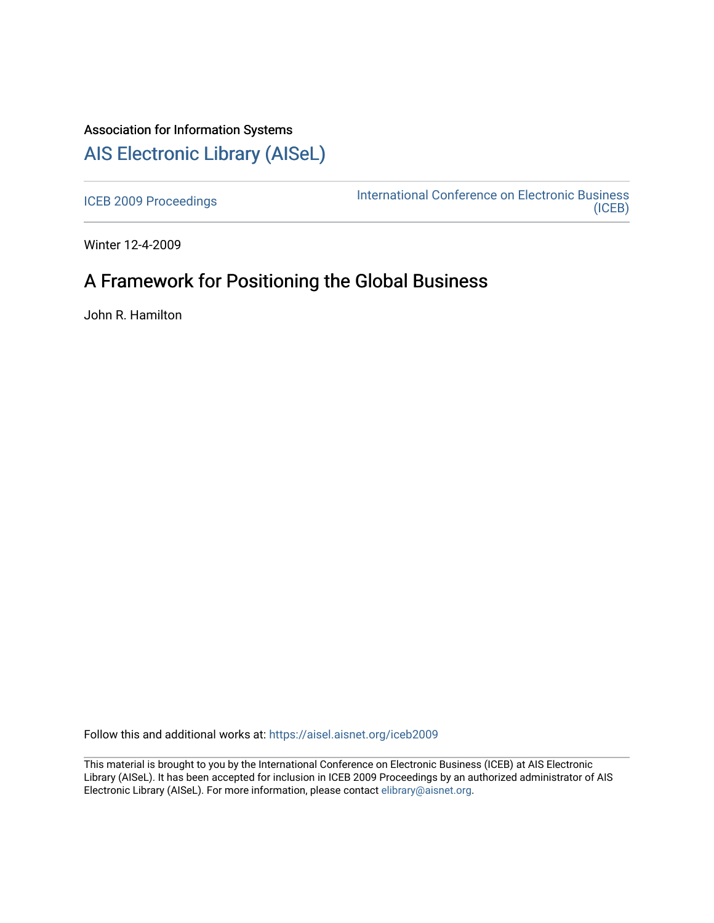# Association for Information Systems [AIS Electronic Library \(AISeL\)](https://aisel.aisnet.org/)

[ICEB 2009 Proceedings](https://aisel.aisnet.org/iceb2009) **International Conference on Electronic Business** [\(ICEB\)](https://aisel.aisnet.org/iceb) 

Winter 12-4-2009

# A Framework for Positioning the Global Business

John R. Hamilton

Follow this and additional works at: [https://aisel.aisnet.org/iceb2009](https://aisel.aisnet.org/iceb2009?utm_source=aisel.aisnet.org%2Ficeb2009%2F29&utm_medium=PDF&utm_campaign=PDFCoverPages)

This material is brought to you by the International Conference on Electronic Business (ICEB) at AIS Electronic Library (AISeL). It has been accepted for inclusion in ICEB 2009 Proceedings by an authorized administrator of AIS Electronic Library (AISeL). For more information, please contact [elibrary@aisnet.org.](mailto:elibrary@aisnet.org%3E)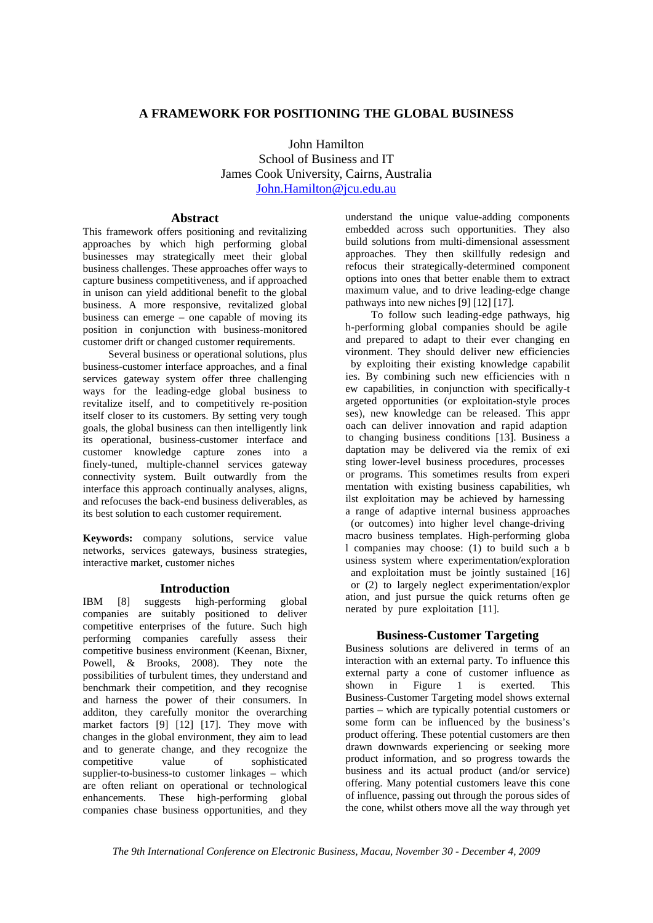# **A FRAMEWORK FOR POSITIONING THE GLOBAL BUSINESS**

John Hamilton School of Business and IT James Cook University, Cairns, Australia John.Hamilton@jcu.edu.au

### **Abstract**

This framework offers positioning and revitalizing approaches by which high performing global businesses may strategically meet their global business challenges. These approaches offer ways to capture business competitiveness, and if approached in unison can yield additional benefit to the global business. A more responsive, revitalized global business can emerge – one capable of moving its position in conjunction with business-monitored customer drift or changed customer requirements.

Several business or operational solutions, plus business-customer interface approaches, and a final services gateway system offer three challenging ways for the leading-edge global business to revitalize itself, and to competitively re-position itself closer to its customers. By setting very tough goals, the global business can then intelligently link its operational, business-customer interface and customer knowledge capture zones into a finely-tuned, multiple-channel services gateway connectivity system. Built outwardly from the interface this approach continually analyses, aligns, and refocuses the back-end business deliverables, as its best solution to each customer requirement.

**Keywords:** company solutions, service value networks, services gateways, business strategies, interactive market, customer niches

#### **Introduction**

IBM [8] suggests high-performing global companies are suitably positioned to deliver competitive enterprises of the future. Such high performing companies carefully assess their competitive business environment (Keenan, Bixner, Powell, & Brooks, 2008). They note the possibilities of turbulent times, they understand and benchmark their competition, and they recognise and harness the power of their consumers. In additon, they carefully monitor the overarching market factors [9] [12] [17]. They move with changes in the global environment, they aim to lead and to generate change, and they recognize the competitive value of sophisticated supplier-to-business-to customer linkages – which are often reliant on operational or technological enhancements. These high-performing global companies chase business opportunities, and they understand the unique value-adding components embedded across such opportunities. They also build solutions from multi-dimensional assessment approaches. They then skillfully redesign and refocus their strategically-determined component options into ones that better enable them to extract maximum value, and to drive leading-edge change pathways into new niches [9] [12] [17].

To follow such leading-edge pathways, hig h-performing global companies should be agile and prepared to adapt to their ever changing en vironment. They should deliver new efficiencies by exploiting their existing knowledge capabilit ies. By combining such new efficiencies with n ew capabilities, in conjunction with specifically-t argeted opportunities (or exploitation-style proces ses), new knowledge can be released. This appr oach can deliver innovation and rapid adaption to changing business conditions [13]. Business a daptation may be delivered via the remix of exi sting lower-level business procedures, processes or programs. This sometimes results from experi mentation with existing business capabilities, wh ilst exploitation may be achieved by harnessing a range of adaptive internal business approaches

 (or outcomes) into higher level change-driving macro business templates. High-performing globa l companies may choose: (1) to build such a b usiness system where experimentation/exploration and exploitation must be jointly sustained [16]

 or (2) to largely neglect experimentation/explor ation, and just pursue the quick returns often ge nerated by pure exploitation [11].

# **Business-Customer Targeting**

Business solutions are delivered in terms of an interaction with an external party. To influence this external party a cone of customer influence as shown in Figure 1 is exerted. This Business-Customer Targeting model shows external parties – which are typically potential customers or some form can be influenced by the business's product offering. These potential customers are then drawn downwards experiencing or seeking more product information, and so progress towards the business and its actual product (and/or service) offering. Many potential customers leave this cone of influence, passing out through the porous sides of the cone, whilst others move all the way through yet

*The 9th International Conference on Electronic Business, Macau, November 30 - December 4, 2009*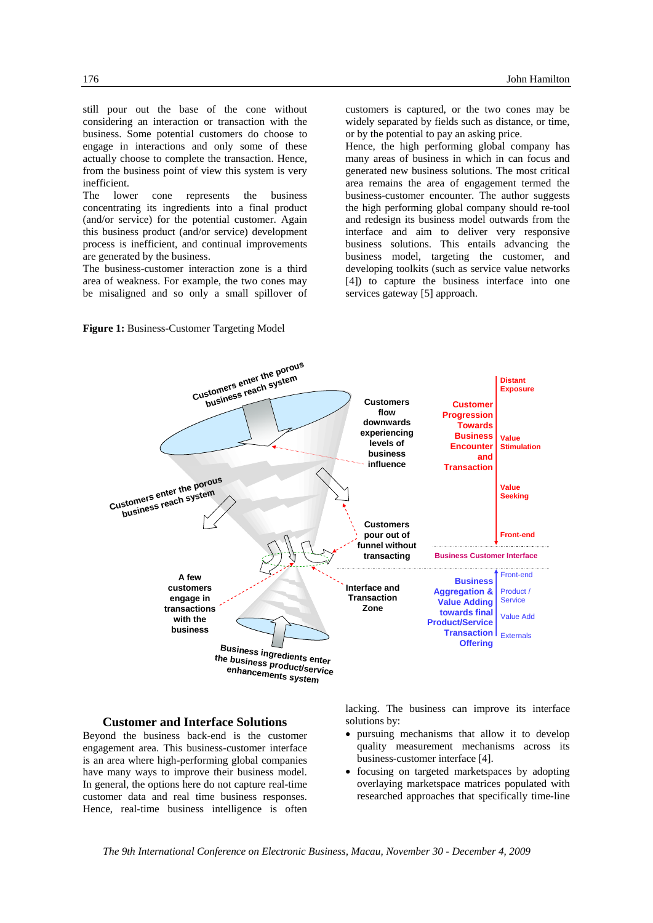still pour out the base of the cone without considering an interaction or transaction with the business. Some potential customers do choose to engage in interactions and only some of these actually choose to complete the transaction. Hence, from the business point of view this system is very inefficient.

The lower cone represents the business concentrating its ingredients into a final product (and/or service) for the potential customer. Again this business product (and/or service) development process is inefficient, and continual improvements are generated by the business.

The business-customer interaction zone is a third area of weakness. For example, the two cones may be misaligned and so only a small spillover of

customers is captured, or the two cones may be widely separated by fields such as distance, or time, or by the potential to pay an asking price.

Hence, the high performing global company has many areas of business in which in can focus and generated new business solutions. The most critical area remains the area of engagement termed the business-customer encounter. The author suggests the high performing global company should re-tool and redesign its business model outwards from the interface and aim to deliver very responsive business solutions. This entails advancing the business model, targeting the customer, and developing toolkits (such as service value networks [4]) to capture the business interface into one services gateway [5] approach.





#### **Customer and Interface Solutions**

Beyond the business back-end is the customer engagement area. This business-customer interface is an area where high-performing global companies have many ways to improve their business model. In general, the options here do not capture real-time customer data and real time business responses. Hence, real-time business intelligence is often

lacking. The business can improve its interface solutions by:

- pursuing mechanisms that allow it to develop quality measurement mechanisms across its business-customer interface [4].
- focusing on targeted marketspaces by adopting overlaying marketspace matrices populated with researched approaches that specifically time-line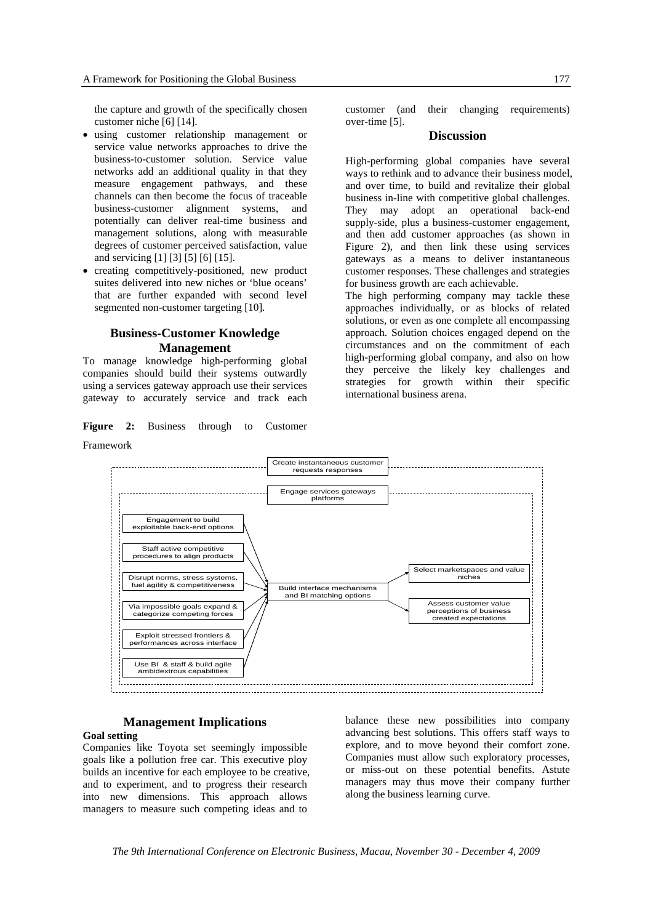the capture and growth of the specifically chosen customer niche [6] [14].

- using customer relationship management or service value networks approaches to drive the business-to-customer solution. Service value networks add an additional quality in that they measure engagement pathways, and these channels can then become the focus of traceable business-customer alignment systems, and potentially can deliver real-time business and management solutions, along with measurable degrees of customer perceived satisfaction, value and servicing [1] [3] [5] [6] [15].
- creating competitively-positioned, new product suites delivered into new niches or 'blue oceans' that are further expanded with second level segmented non-customer targeting [10].

# **Business-Customer Knowledge Management**

To manage knowledge high-performing global companies should build their systems outwardly using a services gateway approach use their services gateway to accurately service and track each

**Figure 2:** Business through to Customer Framework

# **Discussion**

High-performing global companies have several ways to rethink and to advance their business model, and over time, to build and revitalize their global business in-line with competitive global challenges. They may adopt an operational back-end supply-side, plus a business-customer engagement, and then add customer approaches (as shown in Figure 2), and then link these using services gateways as a means to deliver instantaneous customer responses. These challenges and strategies for business growth are each achievable.

The high performing company may tackle these approaches individually, or as blocks of related solutions, or even as one complete all encompassing approach. Solution choices engaged depend on the circumstances and on the commitment of each high-performing global company, and also on how they perceive the likely key challenges and strategies for growth within their specific international business arena.



#### **Management Implications**

#### **Goal setting**

Companies like Toyota set seemingly impossible goals like a pollution free car. This executive ploy builds an incentive for each employee to be creative, and to experiment, and to progress their research into new dimensions. This approach allows managers to measure such competing ideas and to

balance these new possibilities into company advancing best solutions. This offers staff ways to explore, and to move beyond their comfort zone. Companies must allow such exploratory processes, or miss-out on these potential benefits. Astute managers may thus move their company further along the business learning curve.

*The 9th International Conference on Electronic Business, Macau, November 30 - December 4, 2009*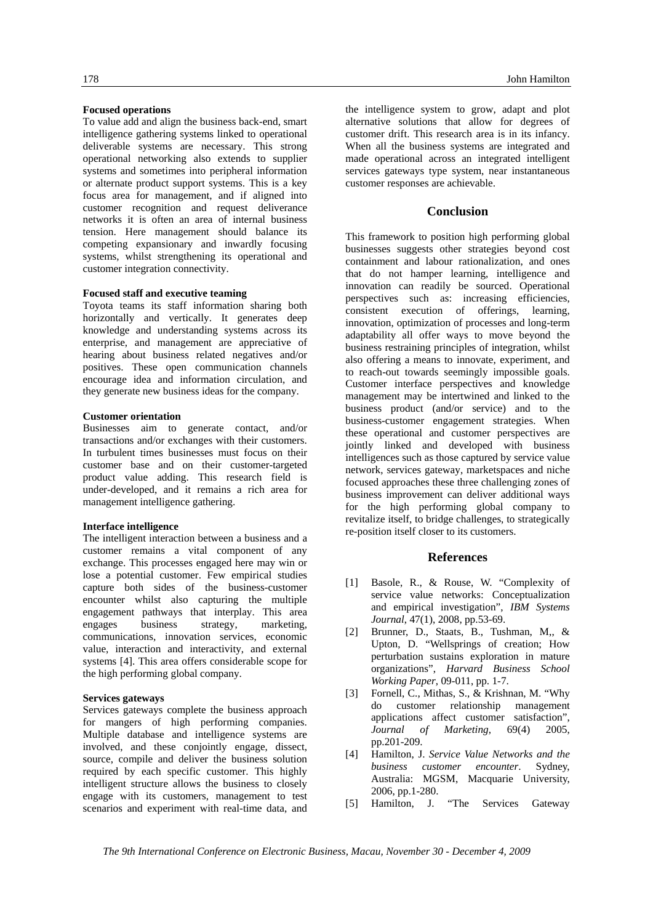#### **Focused operations**

To value add and align the business back-end, smart intelligence gathering systems linked to operational deliverable systems are necessary. This strong operational networking also extends to supplier systems and sometimes into peripheral information or alternate product support systems. This is a key focus area for management, and if aligned into customer recognition and request deliverance networks it is often an area of internal business tension. Here management should balance its competing expansionary and inwardly focusing systems, whilst strengthening its operational and customer integration connectivity.

### **Focused staff and executive teaming**

Toyota teams its staff information sharing both horizontally and vertically. It generates deep knowledge and understanding systems across its enterprise, and management are appreciative of hearing about business related negatives and/or positives. These open communication channels encourage idea and information circulation, and they generate new business ideas for the company.

#### **Customer orientation**

Businesses aim to generate contact, and/or transactions and/or exchanges with their customers. In turbulent times businesses must focus on their customer base and on their customer-targeted product value adding. This research field is under-developed, and it remains a rich area for management intelligence gathering.

#### **Interface intelligence**

The intelligent interaction between a business and a customer remains a vital component of any exchange. This processes engaged here may win or lose a potential customer. Few empirical studies capture both sides of the business-customer encounter whilst also capturing the multiple engagement pathways that interplay. This area engages business strategy, marketing, communications, innovation services, economic value, interaction and interactivity, and external systems [4]. This area offers considerable scope for the high performing global company.

#### **Services gateways**

Services gateways complete the business approach for mangers of high performing companies. Multiple database and intelligence systems are involved, and these conjointly engage, dissect, source, compile and deliver the business solution required by each specific customer. This highly intelligent structure allows the business to closely engage with its customers, management to test scenarios and experiment with real-time data, and

the intelligence system to grow, adapt and plot alternative solutions that allow for degrees of customer drift. This research area is in its infancy. When all the business systems are integrated and made operational across an integrated intelligent services gateways type system, near instantaneous customer responses are achievable.

# **Conclusion**

This framework to position high performing global businesses suggests other strategies beyond cost containment and labour rationalization, and ones that do not hamper learning, intelligence and innovation can readily be sourced. Operational perspectives such as: increasing efficiencies, consistent execution of offerings, learning, innovation, optimization of processes and long-term adaptability all offer ways to move beyond the business restraining principles of integration, whilst also offering a means to innovate, experiment, and to reach-out towards seemingly impossible goals. Customer interface perspectives and knowledge management may be intertwined and linked to the business product (and/or service) and to the business-customer engagement strategies. When these operational and customer perspectives are jointly linked and developed with business intelligences such as those captured by service value network, services gateway, marketspaces and niche focused approaches these three challenging zones of business improvement can deliver additional ways for the high performing global company to revitalize itself, to bridge challenges, to strategically re-position itself closer to its customers.

# **References**

- [1] Basole, R., & Rouse, W. "Complexity of service value networks: Conceptualization and empirical investigation", *IBM Systems Journal*, 47(1), 2008, pp.53-69.
- [2] Brunner, D., Staats, B., Tushman, M,, & Upton, D. "Wellsprings of creation; How perturbation sustains exploration in mature organizations", *Harvard Business School Working Paper*, 09-011, pp. 1-7.
- [3] Fornell, C., Mithas, S., & Krishnan, M. "Why do customer relationship management applications affect customer satisfaction", *Journal of Marketing*, 69(4) 2005, pp.201-209.
- [4] Hamilton, J. *Service Value Networks and the business customer encounter*. Sydney, Australia: MGSM, Macquarie University, 2006, pp.1-280.
- [5] Hamilton, J. "The Services Gateway